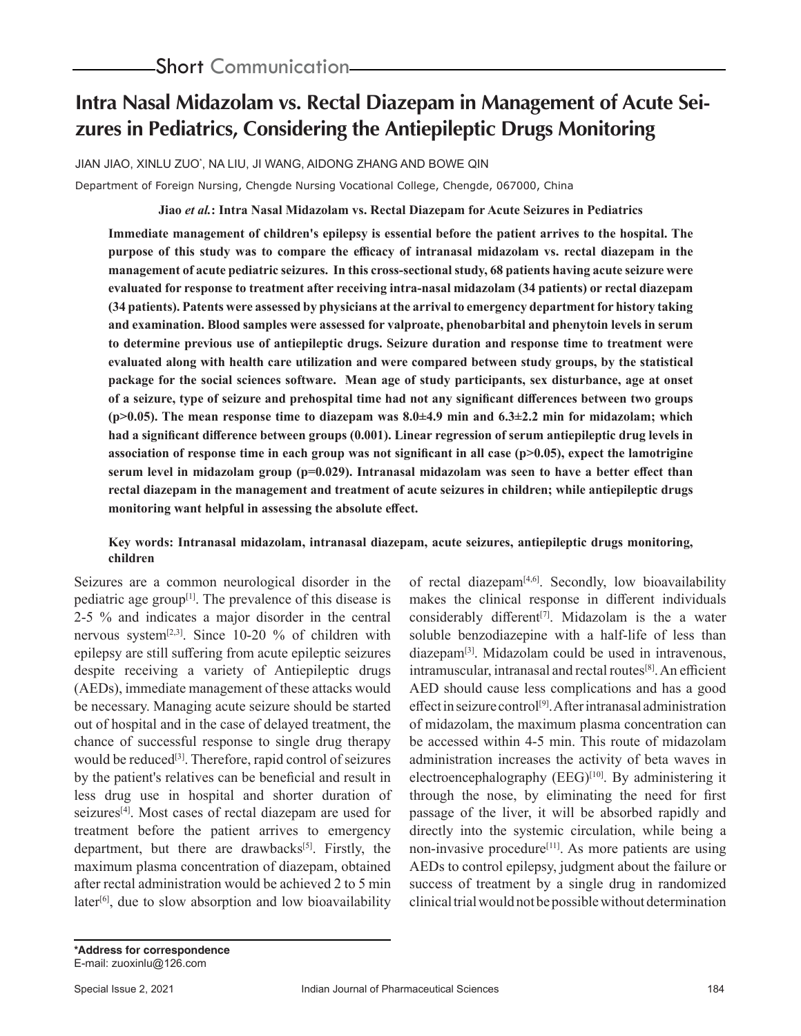# **Intra Nasal Midazolam vs. Rectal Diazepam in Management of Acute Seizures in Pediatrics, Considering the Antiepileptic Drugs Monitoring**

JIAN JIAO, XINLU ZUO\* , NA LIU, JI WANG, AIDONG ZHANG AND BOWE QIN

Department of Foreign Nursing, Chengde Nursing Vocational College, Chengde, 067000, China

**Jiao** *et al.***: Intra Nasal Midazolam vs. Rectal Diazepam for Acute Seizures in Pediatrics** 

**Immediate management of children's epilepsy is essential before the patient arrives to the hospital. The purpose of this study was to compare the efficacy of intranasal midazolam vs. rectal diazepam in the management of acute pediatric seizures. In this cross-sectional study, 68 patients having acute seizure were evaluated for response to treatment after receiving intra-nasal midazolam (34 patients) or rectal diazepam (34 patients). Patents were assessed by physicians at the arrival to emergency department for history taking and examination. Blood samples were assessed for valproate, phenobarbital and phenytoin levels in serum to determine previous use of antiepileptic drugs. Seizure duration and response time to treatment were evaluated along with health care utilization and were compared between study groups, by the statistical package for the social sciences software. Mean age of study participants, sex disturbance, age at onset of a seizure, type of seizure and prehospital time had not any significant differences between two groups (p>0.05). The mean response time to diazepam was 8.0±4.9 min and 6.3±2.2 min for midazolam; which had a significant difference between groups (0.001). Linear regression of serum antiepileptic drug levels in association of response time in each group was not significant in all case (p>0.05), expect the lamotrigine serum level in midazolam group (p=0.029). Intranasal midazolam was seen to have a better effect than rectal diazepam in the management and treatment of acute seizures in children; while antiepileptic drugs monitoring want helpful in assessing the absolute effect.**

# **Key words: Intranasal midazolam, intranasal diazepam, acute seizures, antiepileptic drugs monitoring, children**

Seizures are a common neurological disorder in the pediatric age group<sup>[1]</sup>. The prevalence of this disease is 2-5 % and indicates a major disorder in the central nervous system[2,3]. Since 10-20 % of children with epilepsy are still suffering from acute epileptic seizures despite receiving a variety of Antiepileptic drugs (AEDs), immediate management of these attacks would be necessary. Managing acute seizure should be started out of hospital and in the case of delayed treatment, the chance of successful response to single drug therapy would be reduced<sup>[3]</sup>. Therefore, rapid control of seizures by the patient's relatives can be beneficial and result in less drug use in hospital and shorter duration of seizures<sup>[4]</sup>. Most cases of rectal diazepam are used for treatment before the patient arrives to emergency department, but there are drawbacks<sup>[5]</sup>. Firstly, the maximum plasma concentration of diazepam, obtained after rectal administration would be achieved 2 to 5 min  $later<sup>[6]</sup>$ , due to slow absorption and low bioavailability

of rectal diazepam[4,6]. Secondly, low bioavailability makes the clinical response in different individuals considerably different<sup>[7]</sup>. Midazolam is the a water soluble benzodiazepine with a half-life of less than diazepam[3]. Midazolam could be used in intravenous,  $intramuscular, intranasal and rectal routes<sup>[8]</sup>. An efficient$ AED should cause less complications and has a good effect in seizure control<sup>[9]</sup>. After intranasal administration of midazolam, the maximum plasma concentration can be accessed within 4-5 min. This route of midazolam administration increases the activity of beta waves in electroencephalography (EEG)<sup>[10]</sup>. By administering it through the nose, by eliminating the need for first passage of the liver, it will be absorbed rapidly and directly into the systemic circulation, while being a non-invasive procedure<sup>[11]</sup>. As more patients are using AEDs to control epilepsy, judgment about the failure or success of treatment by a single drug in randomized clinical trial would not be possible without determination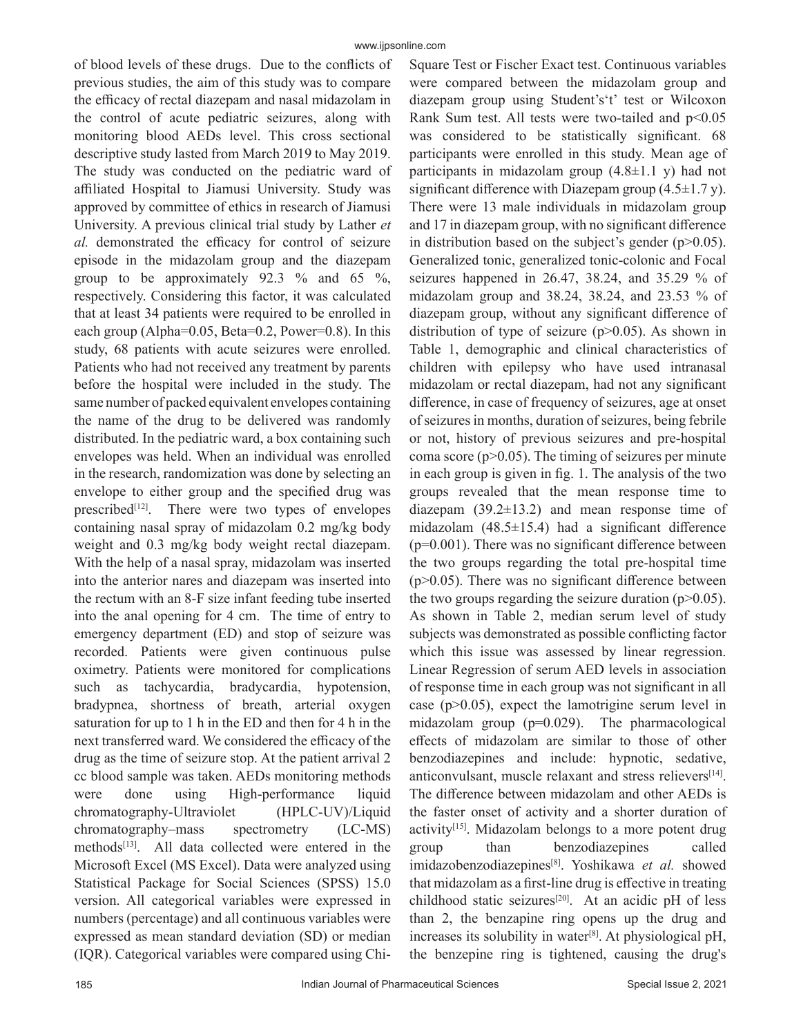of blood levels of these drugs. Due to the conflicts of previous studies, the aim of this study was to compare the efficacy of rectal diazepam and nasal midazolam in the control of acute pediatric seizures, along with monitoring blood AEDs level. This cross sectional descriptive study lasted from March 2019 to May 2019. The study was conducted on the pediatric ward of affiliated Hospital to Jiamusi University. Study was approved by committee of ethics in research of Jiamusi University. A previous clinical trial study by Lather *et al.* demonstrated the efficacy for control of seizure episode in the midazolam group and the diazepam group to be approximately 92.3  $%$  and 65  $%$ , respectively. Considering this factor, it was calculated that at least 34 patients were required to be enrolled in each group (Alpha=0.05, Beta=0.2, Power=0.8). In this study, 68 patients with acute seizures were enrolled. Patients who had not received any treatment by parents before the hospital were included in the study. The same number of packed equivalent envelopes containing the name of the drug to be delivered was randomly distributed. In the pediatric ward, a box containing such envelopes was held. When an individual was enrolled in the research, randomization was done by selecting an envelope to either group and the specified drug was prescribed $[12]$ . There were two types of envelopes containing nasal spray of midazolam 0.2 mg/kg body weight and 0.3 mg/kg body weight rectal diazepam. With the help of a nasal spray, midazolam was inserted into the anterior nares and diazepam was inserted into the rectum with an 8-F size infant feeding tube inserted into the anal opening for 4 cm. The time of entry to emergency department (ED) and stop of seizure was recorded. Patients were given continuous pulse oximetry. Patients were monitored for complications such as tachycardia, bradycardia, hypotension, bradypnea, shortness of breath, arterial oxygen saturation for up to 1 h in the ED and then for 4 h in the next transferred ward. We considered the efficacy of the drug as the time of seizure stop. At the patient arrival 2 cc blood sample was taken. AEDs monitoring methods were done using High-performance liquid chromatography-Ultraviolet (HPLC-UV)/Liquid chromatography–mass spectrometry (LC-MS) methods<sup>[13]</sup>. All data collected were entered in the Microsoft Excel (MS Excel). Data were analyzed using Statistical Package for Social Sciences (SPSS) 15.0 version. All categorical variables were expressed in numbers (percentage) and all continuous variables were expressed as mean standard deviation (SD) or median (IQR). Categorical variables were compared using ChiSquare Test or Fischer Exact test. Continuous variables were compared between the midazolam group and diazepam group using Student's't' test or Wilcoxon Rank Sum test. All tests were two-tailed and p<0.05 was considered to be statistically significant. 68 participants were enrolled in this study. Mean age of participants in midazolam group  $(4.8\pm1.1 \text{ y})$  had not significant difference with Diazepam group  $(4.5\pm1.7 \text{ y})$ . There were 13 male individuals in midazolam group and 17 in diazepam group, with no significant difference in distribution based on the subject's gender  $(p>0.05)$ . Generalized tonic, generalized tonic-colonic and Focal seizures happened in 26.47, 38.24, and 35.29 % of midazolam group and 38.24, 38.24, and 23.53 % of diazepam group, without any significant difference of distribution of type of seizure  $(p>0.05)$ . As shown in Table 1, demographic and clinical characteristics of children with epilepsy who have used intranasal midazolam or rectal diazepam, had not any significant difference, in case of frequency of seizures, age at onset of seizures in months, duration of seizures, being febrile or not, history of previous seizures and pre-hospital coma score ( $p > 0.05$ ). The timing of seizures per minute in each group is given in fig. 1. The analysis of the two groups revealed that the mean response time to diazepam (39.2±13.2) and mean response time of midazolam  $(48.5\pm15.4)$  had a significant difference  $(p=0.001)$ . There was no significant difference between the two groups regarding the total pre-hospital time  $(p>0.05)$ . There was no significant difference between the two groups regarding the seizure duration  $(p>0.05)$ . As shown in Table 2, median serum level of study subjects was demonstrated as possible conflicting factor which this issue was assessed by linear regression. Linear Regression of serum AED levels in association of response time in each group was not significant in all case (p>0.05), expect the lamotrigine serum level in midazolam group (p=0.029). The pharmacological effects of midazolam are similar to those of other benzodiazepines and include: hypnotic, sedative, anticonvulsant, muscle relaxant and stress relievers<sup>[14]</sup>. The difference between midazolam and other AEDs is the faster onset of activity and a shorter duration of activity<sup>[15]</sup>. Midazolam belongs to a more potent drug group than benzodiazepines called imidazobenzodiazepines[8]. Yoshikawa *et al.* showed that midazolam as a first-line drug is effective in treating childhood static seizures<sup>[20]</sup>. At an acidic pH of less than 2, the benzapine ring opens up the drug and increases its solubility in water<sup>[8]</sup>. At physiological pH, the benzepine ring is tightened, causing the drug's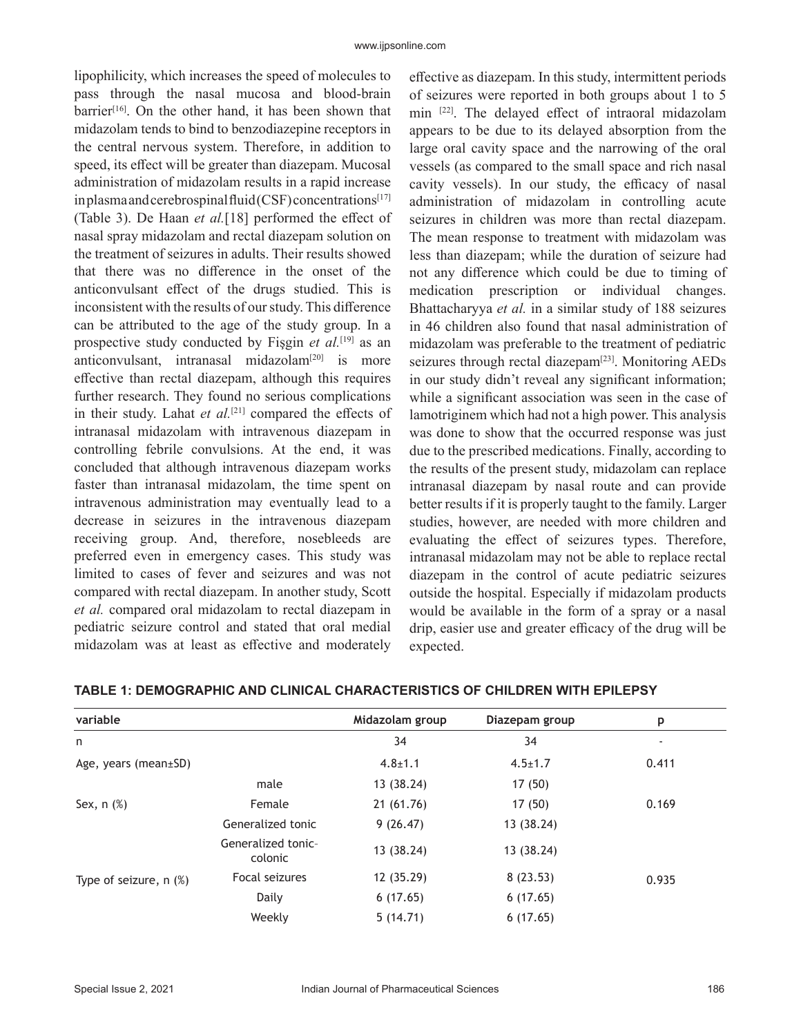lipophilicity, which increases the speed of molecules to pass through the nasal mucosa and blood-brain barrier<sup>[16]</sup>. On the other hand, it has been shown that midazolam tends to bind to benzodiazepine receptors in the central nervous system. Therefore, in addition to speed, its effect will be greater than diazepam. Mucosal administration of midazolam results in a rapid increase in plasma and cerebrospinal fluid (CSF) concentrations<sup>[17]</sup> (Table 3). De Haan *et al.*[18] performed the effect of nasal spray midazolam and rectal diazepam solution on the treatment of seizures in adults. Their results showed that there was no difference in the onset of the anticonvulsant effect of the drugs studied. This is inconsistent with the results of our study. This difference can be attributed to the age of the study group. In a prospective study conducted by Fişgin *et al.*[19] as an anticonvulsant, intranasal midazolam<sup>[20]</sup> is more effective than rectal diazepam, although this requires further research. They found no serious complications in their study. Lahat *et al.*[21] compared the effects of intranasal midazolam with intravenous diazepam in controlling febrile convulsions. At the end, it was concluded that although intravenous diazepam works faster than intranasal midazolam, the time spent on intravenous administration may eventually lead to a decrease in seizures in the intravenous diazepam receiving group. And, therefore, nosebleeds are preferred even in emergency cases. This study was limited to cases of fever and seizures and was not compared with rectal diazepam. In another study, Scott *et al.* compared oral midazolam to rectal diazepam in pediatric seizure control and stated that oral medial midazolam was at least as effective and moderately

effective as diazepam. In this study, intermittent periods of seizures were reported in both groups about 1 to 5 min [22]. The delayed effect of intraoral midazolam appears to be due to its delayed absorption from the large oral cavity space and the narrowing of the oral vessels (as compared to the small space and rich nasal cavity vessels). In our study, the efficacy of nasal administration of midazolam in controlling acute seizures in children was more than rectal diazepam. The mean response to treatment with midazolam was less than diazepam; while the duration of seizure had not any difference which could be due to timing of medication prescription or individual changes. Bhattacharyya *et al.* in a similar study of 188 seizures in 46 children also found that nasal administration of midazolam was preferable to the treatment of pediatric seizures through rectal diazepam<sup>[23]</sup>. Monitoring AEDs in our study didn't reveal any significant information; while a significant association was seen in the case of lamotriginem which had not a high power. This analysis was done to show that the occurred response was just due to the prescribed medications. Finally, according to the results of the present study, midazolam can replace intranasal diazepam by nasal route and can provide better results if it is properly taught to the family. Larger studies, however, are needed with more children and evaluating the effect of seizures types. Therefore, intranasal midazolam may not be able to replace rectal diazepam in the control of acute pediatric seizures outside the hospital. Especially if midazolam products would be available in the form of a spray or a nasal drip, easier use and greater efficacy of the drug will be expected.

| variable                    |                               | Midazolam group | Diazepam group | p     |
|-----------------------------|-------------------------------|-----------------|----------------|-------|
| n                           |                               | 34              | 34             |       |
| Age, years (mean $\pm$ SD)  |                               | $4.8 \pm 1.1$   | $4.5 \pm 1.7$  | 0.411 |
|                             | male                          | 13 (38.24)      | 17 (50)        |       |
| Sex, $n$ $(\%)$             | Female                        | 21 (61.76)      | 17(50)         | 0.169 |
|                             | Generalized tonic             | 9(26.47)        | 13 (38.24)     |       |
|                             | Generalized tonic-<br>colonic | 13 (38.24)      | 13 (38.24)     |       |
| Type of seizure, $n$ $(\%)$ | Focal seizures                | 12 (35.29)      | 8(23.53)       | 0.935 |
|                             | Daily                         | 6(17.65)        | 6(17.65)       |       |
|                             | Weekly                        | 5(14.71)        | 6(17.65)       |       |

### **TABLE 1: DEMOGRAPHIC AND CLINICAL CHARACTERISTICS OF CHILDREN WITH EPILEPSY**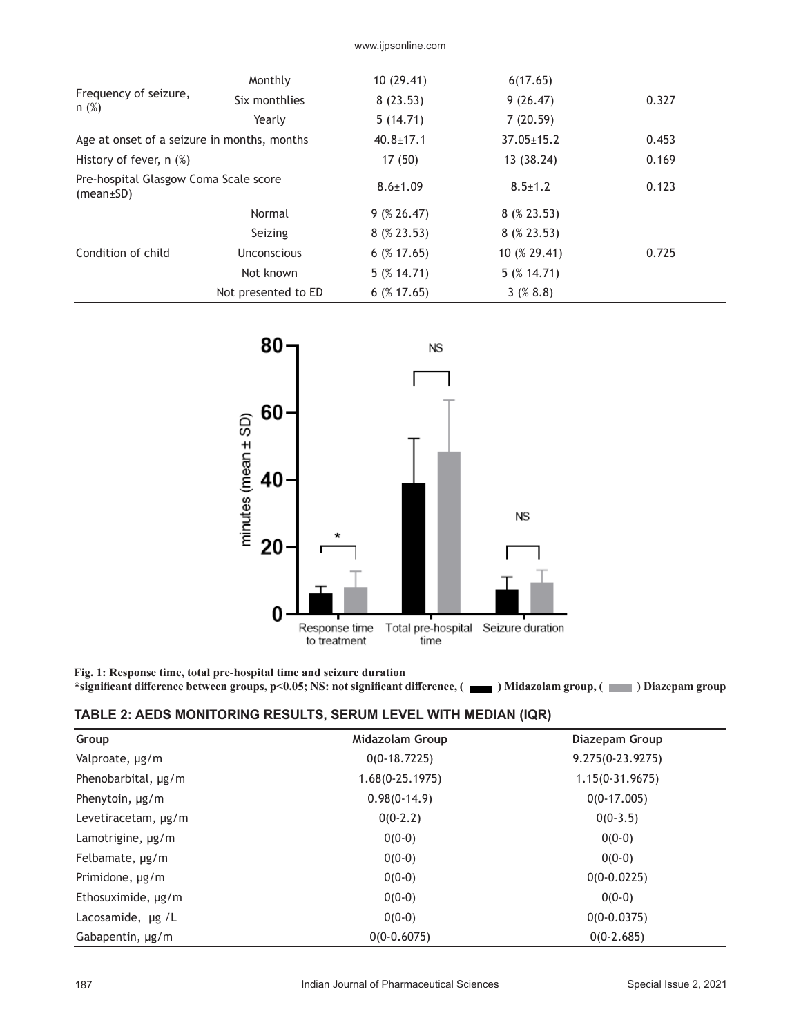| Monthly                                            | 10(29.41)       | 6(17.65)                            |       |
|----------------------------------------------------|-----------------|-------------------------------------|-------|
| Six monthlies                                      | 8(23.53)        | 9(26.47)                            | 0.327 |
| Yearly                                             | 5(14.71)        | 7(20.59)                            |       |
| Age at onset of a seizure in months, months        |                 | $37.05 \pm 15.2$<br>$40.8 \pm 17.1$ |       |
|                                                    | 17 (50)         | 13 (38.24)                          | 0.169 |
| Pre-hospital Glasgow Coma Scale score<br>(mean±SD) |                 | $8.5 \pm 1.2$                       | 0.123 |
| Normal                                             | 9(826.47)       | 8(823.53)                           |       |
| Seizing                                            | $8 \ (% 23.53)$ | $8$ (% 23.53)                       |       |
| <b>Unconscious</b>                                 | $6$ (% 17.65)   | 10 (% 29.41)                        | 0.725 |
| Not known                                          | $5($ % 14.71)   | $5($ % 14.71)                       |       |
| Not presented to ED                                | $6$ (% 17.65)   | 3(88.8)                             |       |
|                                                    |                 | $8.6 \pm 1.09$                      |       |



**Fig. 1: Response time, total pre-hospital time and seizure duration** \*significant difference between groups, p<0.05; NS: not significant difference, (**inclusively**) Midazolam group, (**inclusively**) Diazepam group

| Group                  | <b>Midazolam Group</b> | Diazepam Group    |
|------------------------|------------------------|-------------------|
| Valproate, µg/m        | $0(0-18.7225)$         | 9.275(0-23.9275)  |
| Phenobarbital, µg/m    | $1.68(0-25.1975)$      | $1.15(0-31.9675)$ |
| Phenytoin, $\mu$ g/m   | $0.98(0-14.9)$         | $0(0-17.005)$     |
| Levetiracetam, µg/m    | $0(0-2.2)$             | $0(0-3.5)$        |
| Lamotrigine, $\mu$ g/m | $0(0-0)$               | $0(0-0)$          |
| Felbamate, $\mu$ g/m   | $0(0-0)$               | $0(0-0)$          |
| Primidone, µg/m        | $0(0-0)$               | $0(0-0.0225)$     |
| Ethosuximide, µg/m     | $0(0-0)$               | $0(0-0)$          |
| Lacosamide, ug /L      | $0(0-0)$               | $0(0-0.0375)$     |
| Gabapentin, µg/m       | $0(0-0.6075)$          | $0(0-2.685)$      |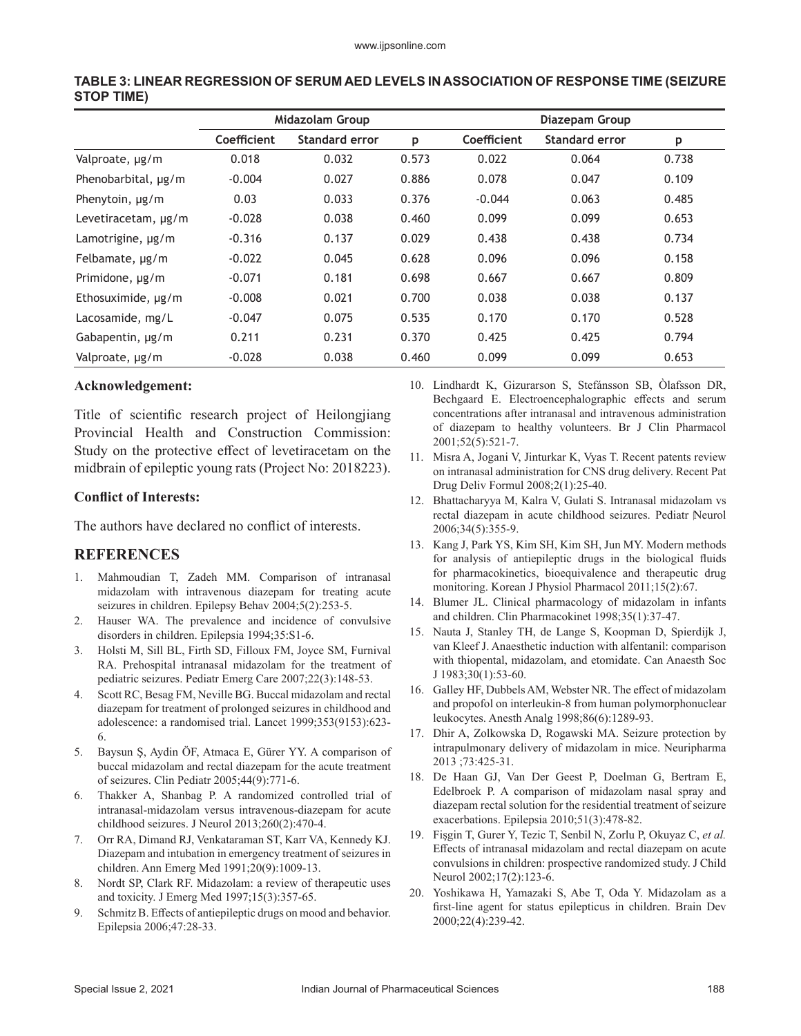|                        | Midazolam Group |                       |       | Diazepam Group |                       |       |  |
|------------------------|-----------------|-----------------------|-------|----------------|-----------------------|-------|--|
|                        | Coefficient     | <b>Standard error</b> | p     | Coefficient    | <b>Standard error</b> | p     |  |
| Valproate, µg/m        | 0.018           | 0.032                 | 0.573 | 0.022          | 0.064                 | 0.738 |  |
| Phenobarbital, µg/m    | $-0.004$        | 0.027                 | 0.886 | 0.078          | 0.047                 | 0.109 |  |
| Phenytoin, $\mu$ g/m   | 0.03            | 0.033                 | 0.376 | $-0.044$       | 0.063                 | 0.485 |  |
| Levetiracetam, µg/m    | $-0.028$        | 0.038                 | 0.460 | 0.099          | 0.099                 | 0.653 |  |
| Lamotrigine, $\mu$ g/m | $-0.316$        | 0.137                 | 0.029 | 0.438          | 0.438                 | 0.734 |  |
| Felbamate, µg/m        | $-0.022$        | 0.045                 | 0.628 | 0.096          | 0.096                 | 0.158 |  |
| Primidone, µg/m        | $-0.071$        | 0.181                 | 0.698 | 0.667          | 0.667                 | 0.809 |  |
| Ethosuximide, ug/m     | $-0.008$        | 0.021                 | 0.700 | 0.038          | 0.038                 | 0.137 |  |
| Lacosamide, mg/L       | $-0.047$        | 0.075                 | 0.535 | 0.170          | 0.170                 | 0.528 |  |
| Gabapentin, µg/m       | 0.211           | 0.231                 | 0.370 | 0.425          | 0.425                 | 0.794 |  |
| Valproate, µg/m        | $-0.028$        | 0.038                 | 0.460 | 0.099          | 0.099                 | 0.653 |  |

### **TABLE 3: LINEAR REGRESSION OF SERUM AED LEVELS IN ASSOCIATION OF RESPONSE TIME (SEIZURE STOP TIME)**

# **Acknowledgement:**

Title of scientific research project of Heilongjiang Provincial Health and Construction Commission: Study on the protective effect of levetiracetam on the midbrain of epileptic young rats (Project No: 2018223).

#### **Conflict of Interests:**

The authors have declared no conflict of interests.

### **REFERENCES**

- 1. Mahmoudian T, Zadeh MM. Comparison of intranasal midazolam with intravenous diazepam for treating acute seizures in children. Epilepsy Behav 2004;5(2):253-5.
- 2. Hauser WA. The prevalence and incidence of convulsive disorders in children. Epilepsia 1994;35:S1-6.
- 3. Holsti M, Sill BL, Firth SD, Filloux FM, Joyce SM, Furnival RA. Prehospital intranasal midazolam for the treatment of pediatric seizures. Pediatr Emerg Care 2007;22(3):148-53.
- 4. Scott RC, Besag FM, Neville BG. Buccal midazolam and rectal diazepam for treatment of prolonged seizures in childhood and adolescence: a randomised trial. Lancet 1999;353(9153):623- 6.
- 5. Baysun Ş, Aydin ÖF, Atmaca E, Gürer YY. A comparison of buccal midazolam and rectal diazepam for the acute treatment of seizures. Clin Pediatr 2005;44(9):771-6.
- 6. Thakker A, Shanbag P. A randomized controlled trial of intranasal-midazolam versus intravenous-diazepam for acute childhood seizures. J Neurol 2013;260(2):470-4.
- 7. Orr RA, Dimand RJ, Venkataraman ST, Karr VA, Kennedy KJ. Diazepam and intubation in emergency treatment of seizures in children. Ann Emerg Med 1991;20(9):1009-13.
- 8. Nordt SP, Clark RF. Midazolam: a review of therapeutic uses and toxicity. J Emerg Med 1997;15(3):357-65.
- 9. Schmitz B. Effects of antiepileptic drugs on mood and behavior. Epilepsia 2006;47:28-33.
- 10. Lindhardt K, Gizurarson S, Stefánsson SB, Òlafsson DR, Bechgaard E. Electroencephalographic effects and serum concentrations after intranasal and intravenous administration of diazepam to healthy volunteers. Br J Clin Pharmacol 2001;52(5):521-7.
- 11. Misra A, Jogani V, Jinturkar K, Vyas T. Recent patents review on intranasal administration for CNS drug delivery. Recent Pat Drug Deliv Formul 2008;2(1):25-40.
- 12. Bhattacharyya M, Kalra V, Gulati S. Intranasal midazolam vs rectal diazepam in acute childhood seizures. Pediatr Neurol 2006;34(5):355-9.
- 13. Kang J, Park YS, Kim SH, Kim SH, Jun MY. Modern methods for analysis of antiepileptic drugs in the biological fluids for pharmacokinetics, bioequivalence and therapeutic drug monitoring. Korean J Physiol Pharmacol 2011;15(2):67.
- 14. Blumer JL. Clinical pharmacology of midazolam in infants and children. Clin Pharmacokinet 1998;35(1):37-47.
- 15. Nauta J, Stanley TH, de Lange S, Koopman D, Spierdijk J, van Kleef J. Anaesthetic induction with alfentanil: comparison with thiopental, midazolam, and etomidate. Can Anaesth Soc J 1983;30(1):53-60.
- 16. Galley HF, Dubbels AM, Webster NR. The effect of midazolam and propofol on interleukin-8 from human polymorphonuclear leukocytes. Anesth Analg 1998;86(6):1289-93.
- 17. Dhir A, Zolkowska D, Rogawski MA. Seizure protection by intrapulmonary delivery of midazolam in mice. Neuripharma 2013 ;73:425-31.
- 18. De Haan GJ, Van Der Geest P, Doelman G, Bertram E, Edelbroek P. A comparison of midazolam nasal spray and diazepam rectal solution for the residential treatment of seizure exacerbations. Epilepsia 2010;51(3):478-82.
- 19. Fişgin T, Gurer Y, Tezic T, Senbil N, Zorlu P, Okuyaz C, *et al.* Effects of intranasal midazolam and rectal diazepam on acute convulsions in children: prospective randomized study. J Child Neurol 2002;17(2):123-6.
- 20. Yoshikawa H, Yamazaki S, Abe T, Oda Y. Midazolam as a first-line agent for status epilepticus in children. Brain Dev 2000;22(4):239-42.